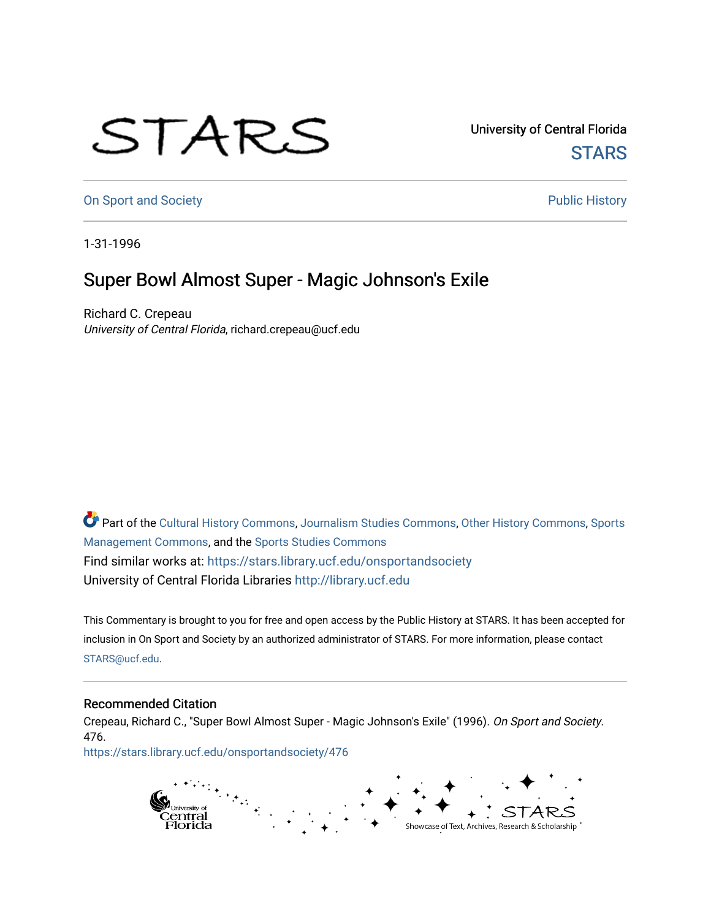## STARS

University of Central Florida **STARS** 

[On Sport and Society](https://stars.library.ucf.edu/onsportandsociety) **Public History** Public History

1-31-1996

## Super Bowl Almost Super - Magic Johnson's Exile

Richard C. Crepeau University of Central Florida, richard.crepeau@ucf.edu

Part of the [Cultural History Commons](http://network.bepress.com/hgg/discipline/496?utm_source=stars.library.ucf.edu%2Fonsportandsociety%2F476&utm_medium=PDF&utm_campaign=PDFCoverPages), [Journalism Studies Commons,](http://network.bepress.com/hgg/discipline/333?utm_source=stars.library.ucf.edu%2Fonsportandsociety%2F476&utm_medium=PDF&utm_campaign=PDFCoverPages) [Other History Commons,](http://network.bepress.com/hgg/discipline/508?utm_source=stars.library.ucf.edu%2Fonsportandsociety%2F476&utm_medium=PDF&utm_campaign=PDFCoverPages) [Sports](http://network.bepress.com/hgg/discipline/1193?utm_source=stars.library.ucf.edu%2Fonsportandsociety%2F476&utm_medium=PDF&utm_campaign=PDFCoverPages) [Management Commons](http://network.bepress.com/hgg/discipline/1193?utm_source=stars.library.ucf.edu%2Fonsportandsociety%2F476&utm_medium=PDF&utm_campaign=PDFCoverPages), and the [Sports Studies Commons](http://network.bepress.com/hgg/discipline/1198?utm_source=stars.library.ucf.edu%2Fonsportandsociety%2F476&utm_medium=PDF&utm_campaign=PDFCoverPages) Find similar works at: <https://stars.library.ucf.edu/onsportandsociety> University of Central Florida Libraries [http://library.ucf.edu](http://library.ucf.edu/) 

This Commentary is brought to you for free and open access by the Public History at STARS. It has been accepted for inclusion in On Sport and Society by an authorized administrator of STARS. For more information, please contact [STARS@ucf.edu](mailto:STARS@ucf.edu).

## Recommended Citation

Crepeau, Richard C., "Super Bowl Almost Super - Magic Johnson's Exile" (1996). On Sport and Society. 476.

[https://stars.library.ucf.edu/onsportandsociety/476](https://stars.library.ucf.edu/onsportandsociety/476?utm_source=stars.library.ucf.edu%2Fonsportandsociety%2F476&utm_medium=PDF&utm_campaign=PDFCoverPages)

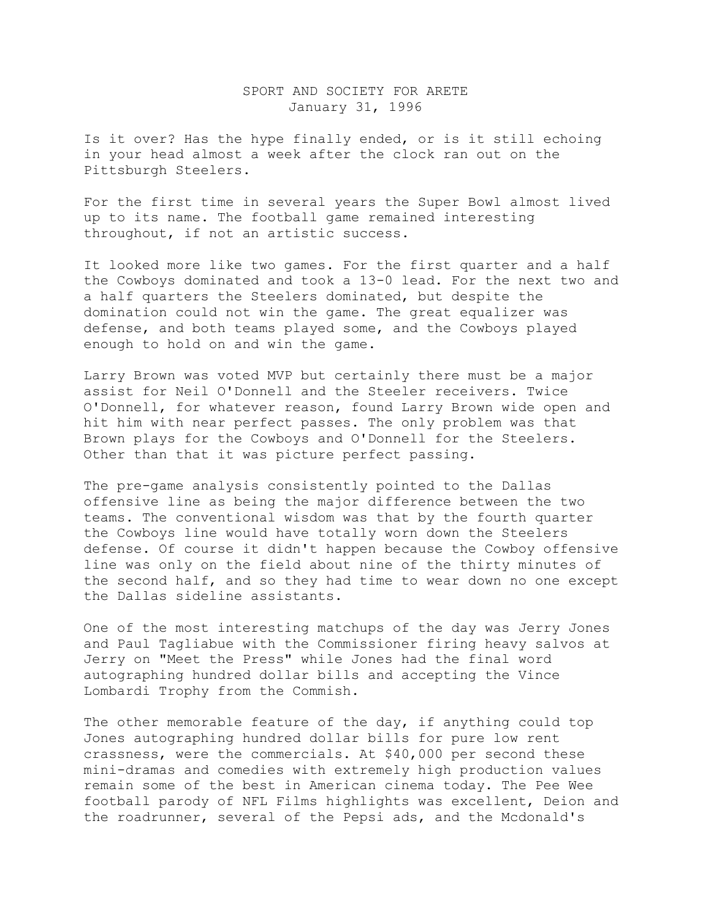## SPORT AND SOCIETY FOR ARETE January 31, 1996

Is it over? Has the hype finally ended, or is it still echoing in your head almost a week after the clock ran out on the Pittsburgh Steelers.

For the first time in several years the Super Bowl almost lived up to its name. The football game remained interesting throughout, if not an artistic success.

It looked more like two games. For the first quarter and a half the Cowboys dominated and took a 13-0 lead. For the next two and a half quarters the Steelers dominated, but despite the domination could not win the game. The great equalizer was defense, and both teams played some, and the Cowboys played enough to hold on and win the game.

Larry Brown was voted MVP but certainly there must be a major assist for Neil O'Donnell and the Steeler receivers. Twice O'Donnell, for whatever reason, found Larry Brown wide open and hit him with near perfect passes. The only problem was that Brown plays for the Cowboys and O'Donnell for the Steelers. Other than that it was picture perfect passing.

The pre-game analysis consistently pointed to the Dallas offensive line as being the major difference between the two teams. The conventional wisdom was that by the fourth quarter the Cowboys line would have totally worn down the Steelers defense. Of course it didn't happen because the Cowboy offensive line was only on the field about nine of the thirty minutes of the second half, and so they had time to wear down no one except the Dallas sideline assistants.

One of the most interesting matchups of the day was Jerry Jones and Paul Tagliabue with the Commissioner firing heavy salvos at Jerry on "Meet the Press" while Jones had the final word autographing hundred dollar bills and accepting the Vince Lombardi Trophy from the Commish.

The other memorable feature of the day, if anything could top Jones autographing hundred dollar bills for pure low rent crassness, were the commercials. At \$40,000 per second these mini-dramas and comedies with extremely high production values remain some of the best in American cinema today. The Pee Wee football parody of NFL Films highlights was excellent, Deion and the roadrunner, several of the Pepsi ads, and the Mcdonald's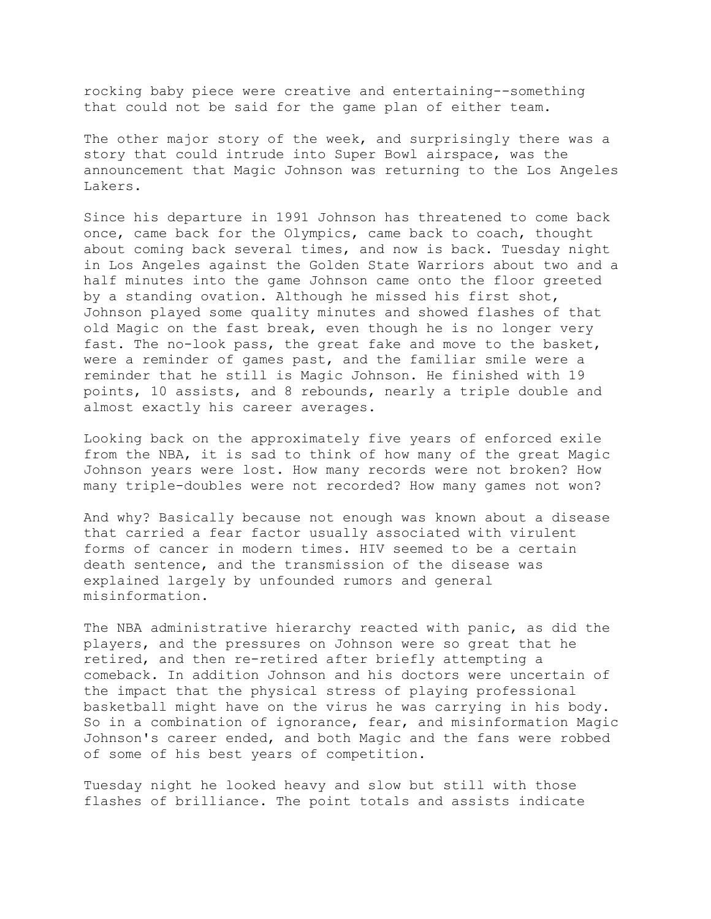rocking baby piece were creative and entertaining--something that could not be said for the game plan of either team.

The other major story of the week, and surprisingly there was a story that could intrude into Super Bowl airspace, was the announcement that Magic Johnson was returning to the Los Angeles Lakers.

Since his departure in 1991 Johnson has threatened to come back once, came back for the Olympics, came back to coach, thought about coming back several times, and now is back. Tuesday night in Los Angeles against the Golden State Warriors about two and a half minutes into the game Johnson came onto the floor greeted by a standing ovation. Although he missed his first shot, Johnson played some quality minutes and showed flashes of that old Magic on the fast break, even though he is no longer very fast. The no-look pass, the great fake and move to the basket, were a reminder of games past, and the familiar smile were a reminder that he still is Magic Johnson. He finished with 19 points, 10 assists, and 8 rebounds, nearly a triple double and almost exactly his career averages.

Looking back on the approximately five years of enforced exile from the NBA, it is sad to think of how many of the great Magic Johnson years were lost. How many records were not broken? How many triple-doubles were not recorded? How many games not won?

And why? Basically because not enough was known about a disease that carried a fear factor usually associated with virulent forms of cancer in modern times. HIV seemed to be a certain death sentence, and the transmission of the disease was explained largely by unfounded rumors and general misinformation.

The NBA administrative hierarchy reacted with panic, as did the players, and the pressures on Johnson were so great that he retired, and then re-retired after briefly attempting a comeback. In addition Johnson and his doctors were uncertain of the impact that the physical stress of playing professional basketball might have on the virus he was carrying in his body. So in a combination of ignorance, fear, and misinformation Magic Johnson's career ended, and both Magic and the fans were robbed of some of his best years of competition.

Tuesday night he looked heavy and slow but still with those flashes of brilliance. The point totals and assists indicate